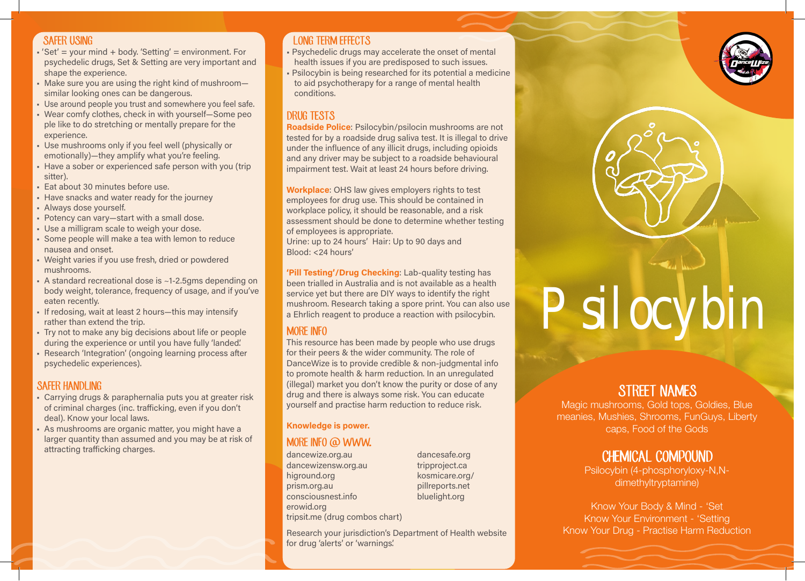#### SAFER USING

- $'Set' = your mind + body.' Setting' = environment. For$ psychedelic drugs, Set & Setting are very important and shape the experience.
- Make sure you are using the right kind of mushroom similar looking ones can be dangerous.
- Use around people you trust and somewhere you feel safe.
- Wear comfy clothes, check in with yourself—Some peo ple like to do stretching or mentally prepare for the experience.
- Use mushrooms only if you feel well (physically or emotionally)—they amplify what you're feeling.
- Have a sober or experienced safe person with you (trip sitter).
- Eat about 30 minutes before use.
- Have snacks and water ready for the journey
- Always dose yourself.
- Potency can vary—start with a small dose.
- Use a milligram scale to weigh your dose.
- Some people will make a tea with lemon to reduce nausea and onset.
- Weight varies if you use fresh, dried or powdered mushrooms.
- A standard recreational dose is ~1-2.5gms depending on body weight, tolerance, frequency of usage, and if you've eaten recently.
- If redosing, wait at least 2 hours—this may intensify rather than extend the trip.
- Try not to make any big decisions about life or people during the experience or until you have fully 'landed'.
- Research 'Integration' (ongoing learning process after psychedelic experiences).

#### SAFER HANDI ING

- Carrying drugs & paraphernalia puts you at greater risk of criminal charges (inc. trafficking, even if you don't deal). Know your local laws.
- As mushrooms are organic matter, you might have a larger quantity than assumed and you may be at risk of attracting trafficking charges.

## LONG TERM EFFECTS

- Psychedelic drugs may accelerate the onset of mental health issues if you are predisposed to such issues.
- Psilocybin is being researched for its potential a medicine to aid psychotherapy for a range of mental health conditions.

## DRUG TESTS

Roadside Police: Psilocybin/psilocin mushrooms are not tested for by a roadside drug saliva test. It is illegal to drive under the influence of any illicit drugs, including opioids and any driver may be subject to a roadside behavioural impairment test. Wait at least 24 hours before driving.

Workplace: OHS law gives employers rights to test employees for drug use. This should be contained in workplace policy, it should be reasonable, and a risk assessment should be done to determine whether testing of employees is appropriate.

Urine: up to 24 hours' Hair: Up to 90 days and Blood: <24 hours'

'Pill Testing'/Drug Checking: Lab-quality testing has been trialled in Australia and is not available as a health service yet but there are DIY ways to identify the right mushroom. Research taking a spore print. You can also use

#### MORE INFO

This resource has been made by people who use drugs for their peers & the wider community. The role of DanceWize is to provide credible & non-judgmental info to promote health & harm reduction. In an unregulated (illegal) market you don't know the purity or dose of any drug and there is always some risk. You can educate yourself and practise harm reduction to reduce risk.

#### Knowledge is power.

## MORE INFO @ WWW.

dancewize.org.au dancewizensw.org.au higround.org prism.org.au consciousnest.info erowid.org tripsit.me (drug combos chart) dancesafe.org tripproject.ca kosmicare.org/ pillreports.net bluelight.org

Research your jurisdiction's Department of Health website for drug 'alerts' or 'warnings'.



# been trialied in Australia and is not available as a health<br>service yet but there are DIY ways to identify the right<br>mushroom. Research taking a spore print. You can also use<br>a Ehrlich reagent to produce a reaction with ps

# STREET NAMES

Magic mushrooms, Gold tops, Goldies, Blue meanies, Mushies, Shrooms, FunGuys, Liberty caps, Food of the Gods

# CHEMICAL COMPOUND

Psilocybin (4-phosphoryloxy-N,Ndimethyltryptamine)

Know Your Body & Mind - 'Set Know Your Environment - 'Setting Know Your Drug - Practise Harm Reduction